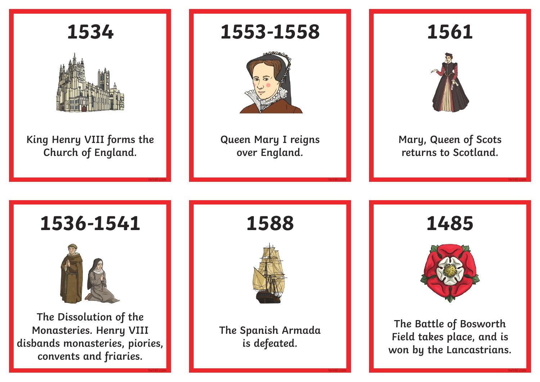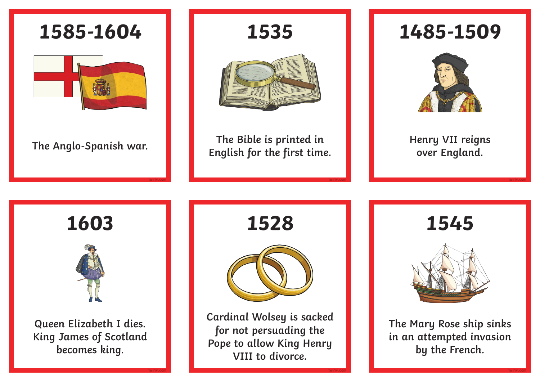

**1485-1509**



**Henry VII reigns over England.**

**twinkl.com**

**twinkl.com**

**1545**

**twinkl.com**

**twinkl.com**



**The Mary Rose ship sinks in an attempted invasion by the French.**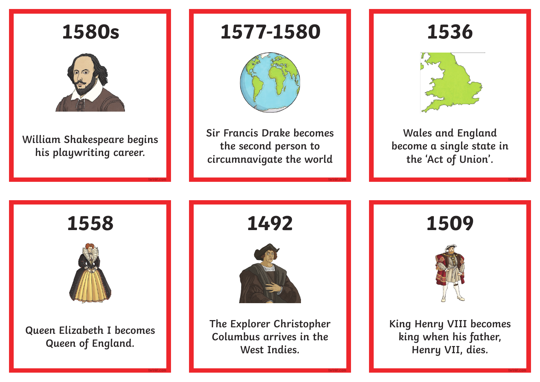

**twinkl.com**

**1492**



**The Explorer Christopher Columbus arrives in the West Indies.**

**1509**



**King Henry VIII becomes king when his father, Henry VII, dies.**

**William Shakespeare begins** 

## **1577-1580**



**Sir Francis Drake becomes the second person to circumnavigate the world**

**twinkl.com**

**twinkl.com**

**1536**



**Wales and England become a single state in the 'Act of Union'.**

**twinkl.com**

**twinkl.com**